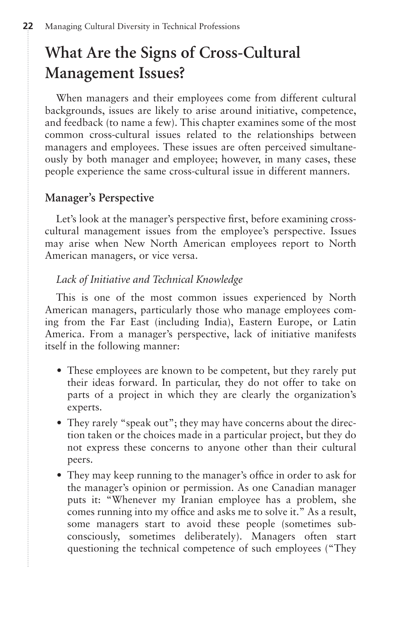# **What Are the Signs of Cross-Cultural Management Issues?**

When managers and their employees come from different cultural backgrounds, issues are likely to arise around initiative, competence, and feedback (to name a few). This chapter examines some of the most common cross-cultural issues related to the relationships between managers and employees. These issues are often perceived simultaneously by both manager and employee; however, in many cases, these people experience the same cross-cultural issue in different manners.

## **Manager's Perspective**

Let's look at the manager's perspective first, before examining crosscultural management issues from the employee's perspective. Issues may arise when New North American employees report to North American managers, or vice versa.

#### *Lack of Initiative and Technical Knowledge*

This is one of the most common issues experienced by North American managers, particularly those who manage employees coming from the Far East (including India), Eastern Europe, or Latin America. From a manager's perspective, lack of initiative manifests itself in the following manner:

- These employees are known to be competent, but they rarely put their ideas forward. In particular, they do not offer to take on parts of a project in which they are clearly the organization's experts.
- They rarely "speak out"; they may have concerns about the direction taken or the choices made in a particular project, but they do not express these concerns to anyone other than their cultural peers.
- They may keep running to the manager's office in order to ask for the manager's opinion or permission. As one Canadian manager puts it: "Whenever my Iranian employee has a problem, she comes running into my office and asks me to solve it." As a result, some managers start to avoid these people (sometimes subconsciously, sometimes deliberately). Managers often start questioning the technical competence of such employees ("They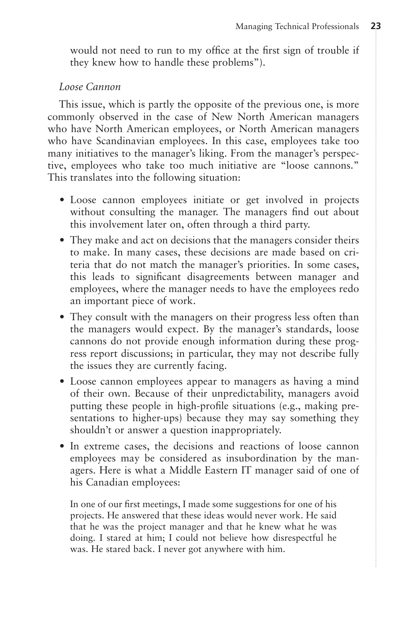would not need to run to my office at the first sign of trouble if they knew how to handle these problems").

#### *Loose Cannon*

This issue, which is partly the opposite of the previous one, is more commonly observed in the case of New North American managers who have North American employees, or North American managers who have Scandinavian employees. In this case, employees take too many initiatives to the manager's liking. From the manager's perspective, employees who take too much initiative are "loose cannons." This translates into the following situation:

- Loose cannon employees initiate or get involved in projects without consulting the manager. The managers find out about this involvement later on, often through a third party.
- They make and act on decisions that the managers consider theirs to make. In many cases, these decisions are made based on criteria that do not match the manager's priorities. In some cases, this leads to significant disagreements between manager and employees, where the manager needs to have the employees redo an important piece of work.
- They consult with the managers on their progress less often than the managers would expect. By the manager's standards, loose cannons do not provide enough information during these progress report discussions; in particular, they may not describe fully the issues they are currently facing.
- Loose cannon employees appear to managers as having a mind of their own. Because of their unpredictability, managers avoid putting these people in high-profile situations (e.g., making presentations to higher-ups) because they may say something they shouldn't or answer a question inappropriately.
- In extreme cases, the decisions and reactions of loose cannon employees may be considered as insubordination by the managers. Here is what a Middle Eastern IT manager said of one of his Canadian employees:

In one of our first meetings, I made some suggestions for one of his projects. He answered that these ideas would never work. He said that he was the project manager and that he knew what he was doing. I stared at him; I could not believe how disrespectful he was. He stared back. I never got anywhere with him.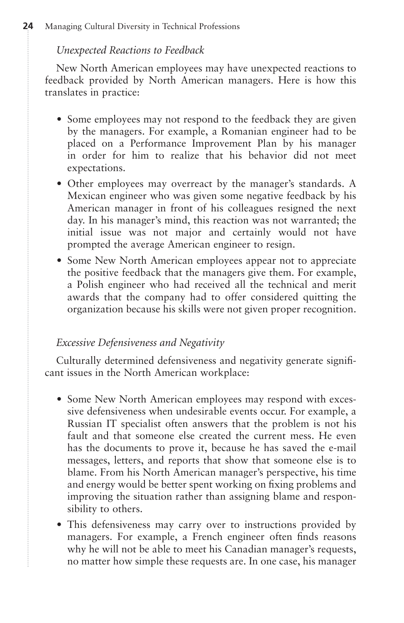#### *Unexpected Reactions to Feedback*

New North American employees may have unexpected reactions to feedback provided by North American managers. Here is how this translates in practice:

- Some employees may not respond to the feedback they are given by the managers. For example, a Romanian engineer had to be placed on a Performance Improvement Plan by his manager in order for him to realize that his behavior did not meet expectations.
- Other employees may overreact by the manager's standards. A Mexican engineer who was given some negative feedback by his American manager in front of his colleagues resigned the next day. In his manager's mind, this reaction was not warranted; the initial issue was not major and certainly would not have prompted the average American engineer to resign.
- Some New North American employees appear not to appreciate the positive feedback that the managers give them. For example, a Polish engineer who had received all the technical and merit awards that the company had to offer considered quitting the organization because his skills were not given proper recognition.

#### *Excessive Defensiveness and Negativity*

Culturally determined defensiveness and negativity generate significant issues in the North American workplace:

- Some New North American employees may respond with excessive defensiveness when undesirable events occur. For example, a Russian IT specialist often answers that the problem is not his fault and that someone else created the current mess. He even has the documents to prove it, because he has saved the e-mail messages, letters, and reports that show that someone else is to blame. From his North American manager's perspective, his time and energy would be better spent working on fixing problems and improving the situation rather than assigning blame and responsibility to others.
- This defensiveness may carry over to instructions provided by managers. For example, a French engineer often finds reasons why he will not be able to meet his Canadian manager's requests, no matter how simple these requests are. In one case, his manager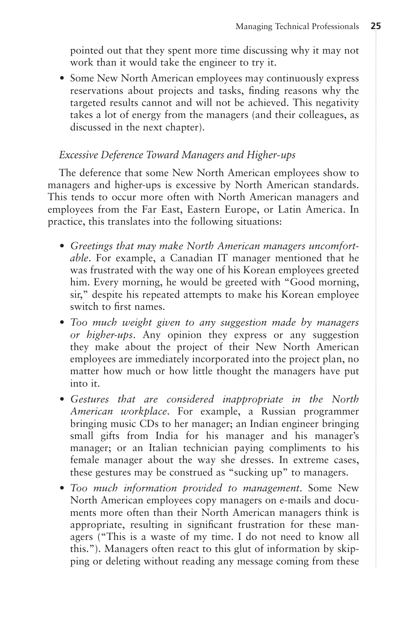pointed out that they spent more time discussing why it may not work than it would take the engineer to try it.

• Some New North American employees may continuously express reservations about projects and tasks, finding reasons why the targeted results cannot and will not be achieved. This negativity takes a lot of energy from the managers (and their colleagues, as discussed in the next chapter).

#### *Excessive Deference Toward Managers and Higher-ups*

The deference that some New North American employees show to managers and higher-ups is excessive by North American standards. This tends to occur more often with North American managers and employees from the Far East, Eastern Europe, or Latin America. In practice, this translates into the following situations:

- *Greetings that may make North American managers uncomfortable*. For example, a Canadian IT manager mentioned that he was frustrated with the way one of his Korean employees greeted him. Every morning, he would be greeted with "Good morning, sir," despite his repeated attempts to make his Korean employee switch to first names.
- *Too much weight given to any suggestion made by managers or higher-ups*. Any opinion they express or any suggestion they make about the project of their New North American employees are immediately incorporated into the project plan, no matter how much or how little thought the managers have put into it.
- *Gestures that are considered inappropriate in the North American workplace*. For example, a Russian programmer bringing music CDs to her manager; an Indian engineer bringing small gifts from India for his manager and his manager's manager; or an Italian technician paying compliments to his female manager about the way she dresses. In extreme cases, these gestures may be construed as "sucking up" to managers.
- *Too much information provided to management*. Some New North American employees copy managers on e-mails and documents more often than their North American managers think is appropriate, resulting in significant frustration for these managers ("This is a waste of my time. I do not need to know all this."). Managers often react to this glut of information by skipping or deleting without reading any message coming from these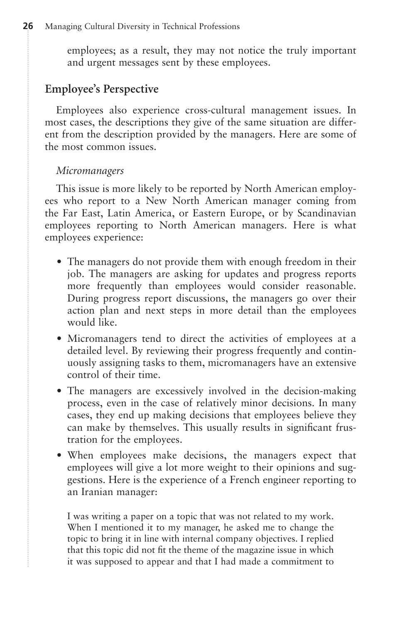employees; as a result, they may not notice the truly important and urgent messages sent by these employees.

### **Employee's Perspective**

Employees also experience cross-cultural management issues. In most cases, the descriptions they give of the same situation are different from the description provided by the managers. Here are some of the most common issues.

#### *Micromanagers*

This issue is more likely to be reported by North American employees who report to a New North American manager coming from the Far East, Latin America, or Eastern Europe, or by Scandinavian employees reporting to North American managers. Here is what employees experience:

- The managers do not provide them with enough freedom in their job. The managers are asking for updates and progress reports more frequently than employees would consider reasonable. During progress report discussions, the managers go over their action plan and next steps in more detail than the employees would like.
- Micromanagers tend to direct the activities of employees at a detailed level. By reviewing their progress frequently and continuously assigning tasks to them, micromanagers have an extensive control of their time.
- The managers are excessively involved in the decision-making process, even in the case of relatively minor decisions. In many cases, they end up making decisions that employees believe they can make by themselves. This usually results in significant frustration for the employees.
- When employees make decisions, the managers expect that employees will give a lot more weight to their opinions and suggestions. Here is the experience of a French engineer reporting to an Iranian manager:

I was writing a paper on a topic that was not related to my work. When I mentioned it to my manager, he asked me to change the topic to bring it in line with internal company objectives. I replied that this topic did not fit the theme of the magazine issue in which it was supposed to appear and that I had made a commitment to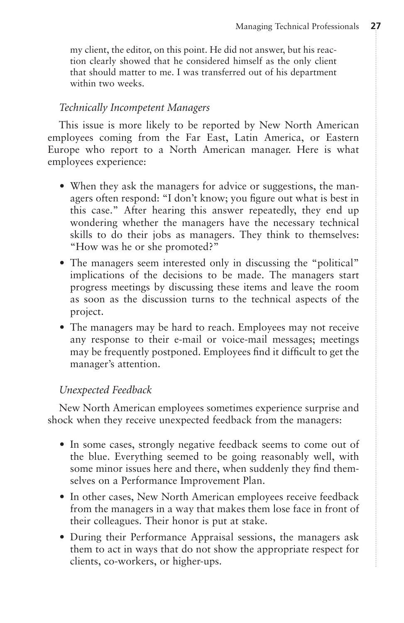my client, the editor, on this point. He did not answer, but his reaction clearly showed that he considered himself as the only client that should matter to me. I was transferred out of his department within two weeks.

#### *Technically Incompetent Managers*

This issue is more likely to be reported by New North American employees coming from the Far East, Latin America, or Eastern Europe who report to a North American manager. Here is what employees experience:

- When they ask the managers for advice or suggestions, the managers often respond: "I don't know; you figure out what is best in this case." After hearing this answer repeatedly, they end up wondering whether the managers have the necessary technical skills to do their jobs as managers. They think to themselves: "How was he or she promoted?"
- The managers seem interested only in discussing the "political" implications of the decisions to be made. The managers start progress meetings by discussing these items and leave the room as soon as the discussion turns to the technical aspects of the project.
- The managers may be hard to reach. Employees may not receive any response to their e-mail or voice-mail messages; meetings may be frequently postponed. Employees find it difficult to get the manager's attention.

#### *Unexpected Feedback*

New North American employees sometimes experience surprise and shock when they receive unexpected feedback from the managers:

- In some cases, strongly negative feedback seems to come out of the blue. Everything seemed to be going reasonably well, with some minor issues here and there, when suddenly they find themselves on a Performance Improvement Plan.
- In other cases, New North American employees receive feedback from the managers in a way that makes them lose face in front of their colleagues. Their honor is put at stake.
- During their Performance Appraisal sessions, the managers ask them to act in ways that do not show the appropriate respect for clients, co-workers, or higher-ups.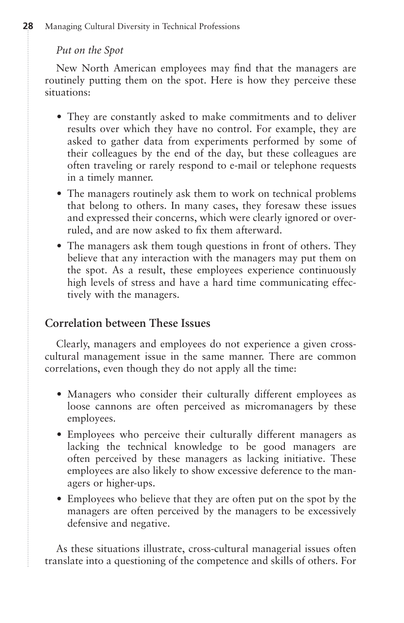#### *Put on the Spot*

New North American employees may find that the managers are routinely putting them on the spot. Here is how they perceive these situations:

- They are constantly asked to make commitments and to deliver results over which they have no control. For example, they are asked to gather data from experiments performed by some of their colleagues by the end of the day, but these colleagues are often traveling or rarely respond to e-mail or telephone requests in a timely manner.
- The managers routinely ask them to work on technical problems that belong to others. In many cases, they foresaw these issues and expressed their concerns, which were clearly ignored or overruled, and are now asked to fix them afterward.
- The managers ask them tough questions in front of others. They believe that any interaction with the managers may put them on the spot. As a result, these employees experience continuously high levels of stress and have a hard time communicating effectively with the managers.

# **Correlation between These Issues**

Clearly, managers and employees do not experience a given crosscultural management issue in the same manner. There are common correlations, even though they do not apply all the time:

- Managers who consider their culturally different employees as loose cannons are often perceived as micromanagers by these employees.
- Employees who perceive their culturally different managers as lacking the technical knowledge to be good managers are often perceived by these managers as lacking initiative. These employees are also likely to show excessive deference to the managers or higher-ups.
- Employees who believe that they are often put on the spot by the managers are often perceived by the managers to be excessively defensive and negative.

As these situations illustrate, cross-cultural managerial issues often translate into a questioning of the competence and skills of others. For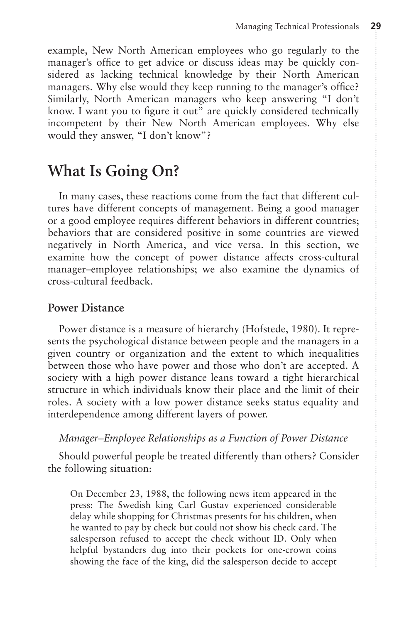example, New North American employees who go regularly to the manager's office to get advice or discuss ideas may be quickly considered as lacking technical knowledge by their North American managers. Why else would they keep running to the manager's office? Similarly, North American managers who keep answering "I don't know. I want you to figure it out" are quickly considered technically incompetent by their New North American employees. Why else would they answer, "I don't know"?

# **What Is Going On?**

In many cases, these reactions come from the fact that different cultures have different concepts of management. Being a good manager or a good employee requires different behaviors in different countries; behaviors that are considered positive in some countries are viewed negatively in North America, and vice versa. In this section, we examine how the concept of power distance affects cross-cultural manager–employee relationships; we also examine the dynamics of cross-cultural feedback.

#### **Power Distance**

Power distance is a measure of hierarchy (Hofstede, 1980). It represents the psychological distance between people and the managers in a given country or organization and the extent to which inequalities between those who have power and those who don't are accepted. A society with a high power distance leans toward a tight hierarchical structure in which individuals know their place and the limit of their roles. A society with a low power distance seeks status equality and interdependence among different layers of power.

#### *Manager–Employee Relationships as a Function of Power Distance*

Should powerful people be treated differently than others? Consider the following situation:

On December 23, 1988, the following news item appeared in the press: The Swedish king Carl Gustav experienced considerable delay while shopping for Christmas presents for his children, when he wanted to pay by check but could not show his check card. The salesperson refused to accept the check without ID. Only when helpful bystanders dug into their pockets for one-crown coins showing the face of the king, did the salesperson decide to accept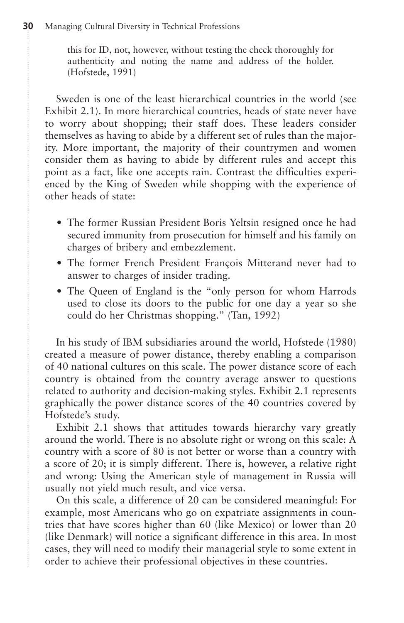<span id="page-8-0"></span>this for ID, not, however, without testing the check thoroughly for authenticity and noting the name and address of the holder. (Hofstede, 1991)

Sweden is one of the least hierarchical countries in the world (see [Exhibit 2.1\)](#page-9-0). In more hierarchical countries, heads of state never have to worry about shopping; their staff does. These leaders consider themselves as having to abide by a different set of rules than the majority. More important, the majority of their countrymen and women consider them as having to abide by different rules and accept this point as a fact, like one accepts rain. Contrast the difficulties experienced by the King of Sweden while shopping with the experience of other heads of state:

- The former Russian President Boris Yeltsin resigned once he had secured immunity from prosecution for himself and his family on charges of bribery and embezzlement.
- The former French President François Mitterand never had to answer to charges of insider trading.
- The Queen of England is the "only person for whom Harrods used to close its doors to the public for one day a year so she could do her Christmas shopping." (Tan, 1992)

In his study of IBM subsidiaries around the world, Hofstede (1980) created a measure of power distance, thereby enabling a comparison of 40 national cultures on this scale. The power distance score of each country is obtained from the country average answer to questions related to authority and decision-making styles. [Exhibit 2.1](#page-9-0) represents graphically the power distance scores of the 40 countries covered by Hofstede's study.

[Exhibit 2.1](#page-9-0) shows that attitudes towards hierarchy vary greatly around the world. There is no absolute right or wrong on this scale: A country with a score of 80 is not better or worse than a country with a score of 20; it is simply different. There is, however, a relative right and wrong: Using the American style of management in Russia will usually not yield much result, and vice versa.

On this scale, a difference of 20 can be considered meaningful: For example, most Americans who go on expatriate assignments in countries that have scores higher than 60 (like Mexico) or lower than 20 (like Denmark) will notice a significant difference in this area. In most cases, they will need to modify their managerial style to some extent in order to achieve their professional objectives in these countries.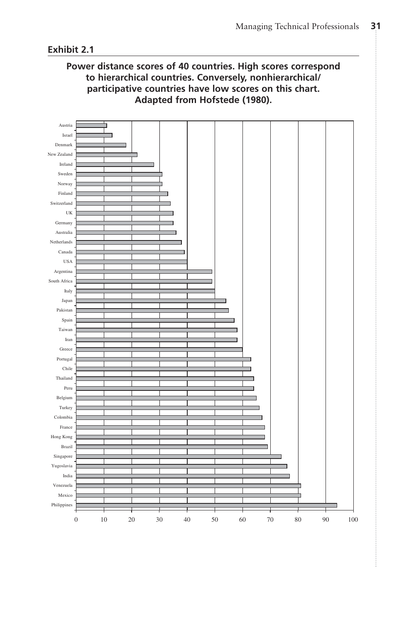#### <span id="page-9-0"></span>**Power distance scores of 40 countries. High scores correspond to hierarchical countries. Conversely, nonhierarchical/ participative countries have low scores on this chart. Adapted from Hofstede (1980).**

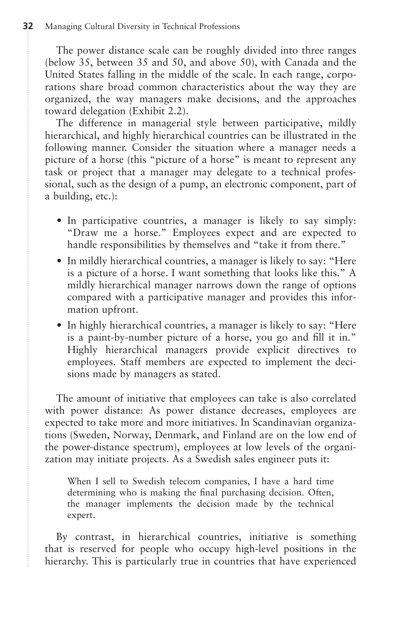<span id="page-10-0"></span>The power distance scale can be roughly divided into three ranges (below 35, between 35 and 50, and above 50), with Canada and the United States falling in the middle of the scale. In each range, corporations share broad common characteristics about the way they are organized, the way managers make decisions, and the approaches toward delegation [\(Exhibit 2.2\)](#page-11-0).

The difference in managerial style between participative, mildly hierarchical, and highly hierarchical countries can be illustrated in the following manner. Consider the situation where a manager needs a picture of a horse (this "picture of a horse" is meant to represent any task or project that a manager may delegate to a technical professional, such as the design of a pump, an electronic component, part of a building, etc.):

- In participative countries, a manager is likely to say simply: "Draw me a horse." Employees expect and are expected to handle responsibilities by themselves and "take it from there."
- In mildly hierarchical countries, a manager is likely to say: "Here is a picture of a horse. I want something that looks like this." A mildly hierarchical manager narrows down the range of options compared with a participative manager and provides this information upfront.
- In highly hierarchical countries, a manager is likely to say: "Here is a paint-by-number picture of a horse, you go and fill it in." Highly hierarchical managers provide explicit directives to employees. Staff members are expected to implement the decisions made by managers as stated.

The amount of initiative that employees can take is also correlated with power distance: As power distance decreases, employees are expected to take more and more initiatives. In Scandinavian organizations (Sweden, Norway, Denmark, and Finland are on the low end of the power-distance spectrum), employees at low levels of the organization may initiate projects. As a Swedish sales engineer puts it:

When I sell to Swedish telecom companies, I have a hard time determining who is making the final purchasing decision. Often, the manager implements the decision made by the technical expert.

By contrast, in hierarchical countries, initiative is something that is reserved for people who occupy high-level positions in the hierarchy. This is particularly true in countries that have experienced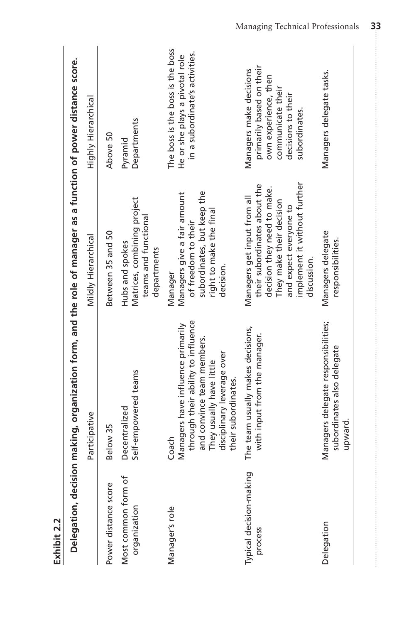<span id="page-11-0"></span>

| Exhibit 2.2                         |                                                                                                                                                                                                 |                                                                                                                                                                                                 |                                                                                                                                         |
|-------------------------------------|-------------------------------------------------------------------------------------------------------------------------------------------------------------------------------------------------|-------------------------------------------------------------------------------------------------------------------------------------------------------------------------------------------------|-----------------------------------------------------------------------------------------------------------------------------------------|
| Delegation, decision                | making, organization form, and the role of manager as a function of power distance score.                                                                                                       |                                                                                                                                                                                                 |                                                                                                                                         |
|                                     | Participative                                                                                                                                                                                   | Mildly Hierarchical                                                                                                                                                                             | Highly Hierarchical                                                                                                                     |
| Power distance score                | Below 35                                                                                                                                                                                        | Between 35 and 50                                                                                                                                                                               | Above 50                                                                                                                                |
| Most common form of<br>organization | Self-empowered teams<br>Decentralized                                                                                                                                                           | Matrices, combining project<br>teams and functional<br>Hubs and spokes<br>departments                                                                                                           | Departments<br>Pyramid                                                                                                                  |
| Manager's role                      | through their ability to influence<br>Managers have influence primarily<br>and convince team members.<br>disciplinary leverage over<br>They usually have little<br>their subordinates.<br>Coach | subordinates, but keep the<br>Managers give a fair amount<br>right to make the final<br>of freedom to their<br>decision.<br>Manager                                                             | The boss is the boss is the boss<br>in a subordinate's activities.<br>He or she plays a pivotal role                                    |
| Typical decision-making<br>process  | The team usually makes decisions,<br>with input from the manager.                                                                                                                               | implement it without further<br>their subordinates about the<br>decision they need to make.<br>Managers get input from all<br>They make their decision<br>and expect everyone to<br>discussion. | primarily based on their<br>Managers make decisions<br>own experience, then<br>communicate their<br>decisions to their<br>subordinates. |
| Delegation                          | Managers delegate responsibilities;<br>subordinates also delegate<br>upward                                                                                                                     | Managers delegate<br>responsibilities.                                                                                                                                                          | Managers delegate tasks.                                                                                                                |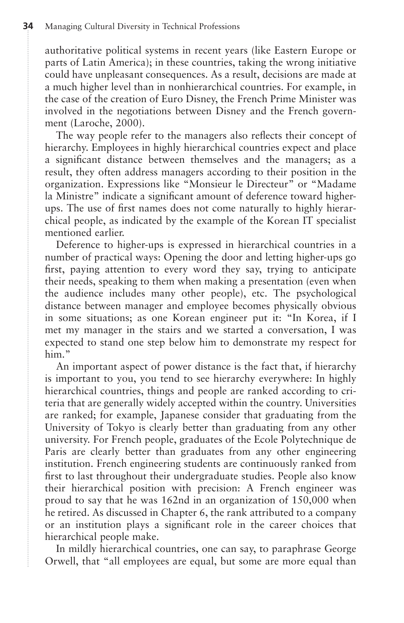authoritative political systems in recent years (like Eastern Europe or parts of Latin America); in these countries, taking the wrong initiative could have unpleasant consequences. As a result, decisions are made at a much higher level than in nonhierarchical countries. For example, in the case of the creation of Euro Disney, the French Prime Minister was involved in the negotiations between Disney and the French government (Laroche, 2000).

The way people refer to the managers also reflects their concept of hierarchy. Employees in highly hierarchical countries expect and place a significant distance between themselves and the managers; as a result, they often address managers according to their position in the organization. Expressions like "Monsieur le Directeur" or "Madame la Ministre" indicate a significant amount of deference toward higherups. The use of first names does not come naturally to highly hierarchical people, as indicated by the example of the Korean IT specialist mentioned earlier.

Deference to higher-ups is expressed in hierarchical countries in a number of practical ways: Opening the door and letting higher-ups go first, paying attention to every word they say, trying to anticipate their needs, speaking to them when making a presentation (even when the audience includes many other people), etc. The psychological distance between manager and employee becomes physically obvious in some situations; as one Korean engineer put it: "In Korea, if I met my manager in the stairs and we started a conversation, I was expected to stand one step below him to demonstrate my respect for him."

An important aspect of power distance is the fact that, if hierarchy is important to you, you tend to see hierarchy everywhere: In highly hierarchical countries, things and people are ranked according to criteria that are generally widely accepted within the country. Universities are ranked; for example, Japanese consider that graduating from the University of Tokyo is clearly better than graduating from any other university. For French people, graduates of the Ecole Polytechnique de Paris are clearly better than graduates from any other engineering institution. French engineering students are continuously ranked from first to last throughout their undergraduate studies. People also know their hierarchical position with precision: A French engineer was proud to say that he was 162nd in an organization of 150,000 when he retired. As discussed in Chapter 6, the rank attributed to a company or an institution plays a significant role in the career choices that hierarchical people make.

In mildly hierarchical countries, one can say, to paraphrase George Orwell, that "all employees are equal, but some are more equal than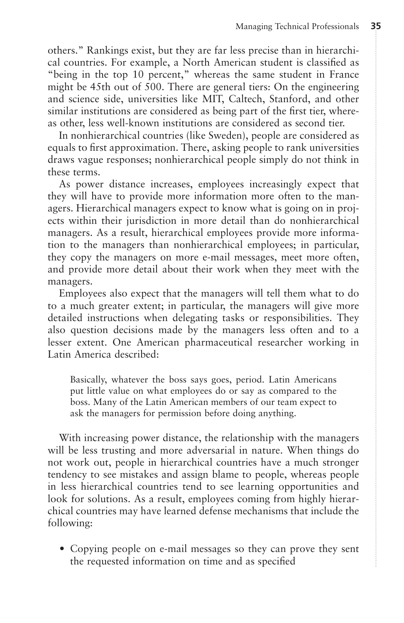others." Rankings exist, but they are far less precise than in hierarchical countries. For example, a North American student is classified as "being in the top 10 percent," whereas the same student in France might be 45th out of 500. There are general tiers: On the engineering and science side, universities like MIT, Caltech, Stanford, and other similar institutions are considered as being part of the first tier, whereas other, less well-known institutions are considered as second tier.

In nonhierarchical countries (like Sweden), people are considered as equals to first approximation. There, asking people to rank universities draws vague responses; nonhierarchical people simply do not think in these terms.

As power distance increases, employees increasingly expect that they will have to provide more information more often to the managers. Hierarchical managers expect to know what is going on in projects within their jurisdiction in more detail than do nonhierarchical managers. As a result, hierarchical employees provide more information to the managers than nonhierarchical employees; in particular, they copy the managers on more e-mail messages, meet more often, and provide more detail about their work when they meet with the managers.

Employees also expect that the managers will tell them what to do to a much greater extent; in particular, the managers will give more detailed instructions when delegating tasks or responsibilities. They also question decisions made by the managers less often and to a lesser extent. One American pharmaceutical researcher working in Latin America described:

Basically, whatever the boss says goes, period. Latin Americans put little value on what employees do or say as compared to the boss. Many of the Latin American members of our team expect to ask the managers for permission before doing anything.

With increasing power distance, the relationship with the managers will be less trusting and more adversarial in nature. When things do not work out, people in hierarchical countries have a much stronger tendency to see mistakes and assign blame to people, whereas people in less hierarchical countries tend to see learning opportunities and look for solutions. As a result, employees coming from highly hierarchical countries may have learned defense mechanisms that include the following:

• Copying people on e-mail messages so they can prove they sent the requested information on time and as specified